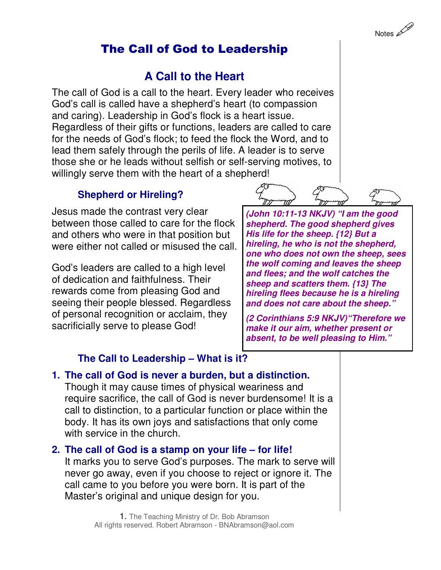# The Call of God to Leadership

# **A Call to the Heart**

The call of God is a call to the heart. Every leader who receives God's call is called have a shepherd's heart (to compassion and caring). Leadership in God's flock is a heart issue. Regardless of their gifts or functions, leaders are called to care for the needs of God's flock; to feed the flock the Word, and to lead them safely through the perils of life. A leader is to serve those she or he leads without selfish or self-serving motives, to willingly serve them with the heart of a shepherd!

# **Shepherd or Hireling?**

Jesus made the contrast very clear between those called to care for the flock and others who were in that position but were either not called or misused the call.

God's leaders are called to a high level of dedication and faithfulness. Their rewards come from pleasing God and seeing their people blessed. Regardless of personal recognition or acclaim, they sacrificially serve to please God!



**(John 10:11-13 NKJV) "I am the good shepherd. The good shepherd gives His life for the sheep. {12} But a hireling, he who is not the shepherd, one who does not own the sheep, sees the wolf coming and leaves the sheep and flees; and the wolf catches the sheep and scatters them. {13} The hireling flees because he is a hireling and does not care about the sheep."** 

**(2 Corinthians 5:9 NKJV)"Therefore we make it our aim, whether present or absent, to be well pleasing to Him."**

# **The Call to Leadership – What is it?**

**1. The call of God is never a burden, but a distinction.** Though it may cause times of physical weariness and require sacrifice, the call of God is never burdensome! It is a call to distinction, to a particular function or place within the body. It has its own joys and satisfactions that only come with service in the church.

**2. The call of God is a stamp on your life – for life!** It marks you to serve God's purposes. The mark to serve will never go away, even if you choose to reject or ignore it. The call came to you before you were born. It is part of the Master's original and unique design for you.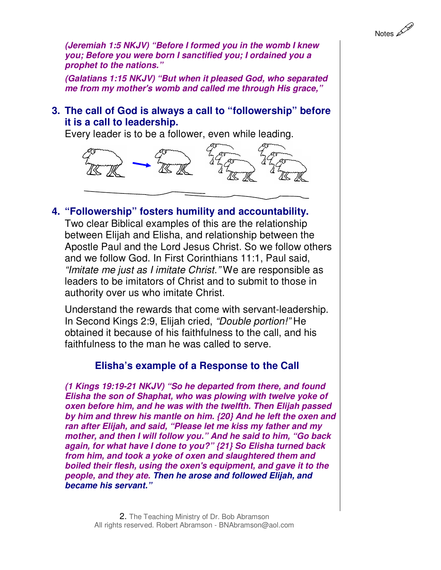**(Jeremiah 1:5 NKJV) "Before I formed you in the womb I knew you; Before you were born I sanctified you; I ordained you a prophet to the nations."** 

**(Galatians 1:15 NKJV) "But when it pleased God, who separated me from my mother's womb and called me through His grace,"**

#### **3. The call of God is always a call to "followership" before it is a call to leadership.**

Every leader is to be a follower, even while leading.



**4. "Followership" fosters humility and accountability.** 

Two clear Biblical examples of this are the relationship between Elijah and Elisha, and relationship between the Apostle Paul and the Lord Jesus Christ. So we follow others and we follow God. In First Corinthians 11:1, Paul said, "Imitate me just as I imitate Christ." We are responsible as leaders to be imitators of Christ and to submit to those in authority over us who imitate Christ.

Understand the rewards that come with servant-leadership. In Second Kings 2:9, Elijah cried, "Double portion!" He obtained it because of his faithfulness to the call, and his faithfulness to the man he was called to serve.

### **Elisha's example of a Response to the Call**

**(1 Kings 19:19-21 NKJV) "So he departed from there, and found Elisha the son of Shaphat, who was plowing with twelve yoke of oxen before him, and he was with the twelfth. Then Elijah passed by him and threw his mantle on him. {20} And he left the oxen and ran after Elijah, and said, "Please let me kiss my father and my mother, and then I will follow you." And he said to him, "Go back again, for what have I done to you?" {21} So Elisha turned back from him, and took a yoke of oxen and slaughtered them and boiled their flesh, using the oxen's equipment, and gave it to the people, and they ate. Then he arose and followed Elijah, and became his servant."**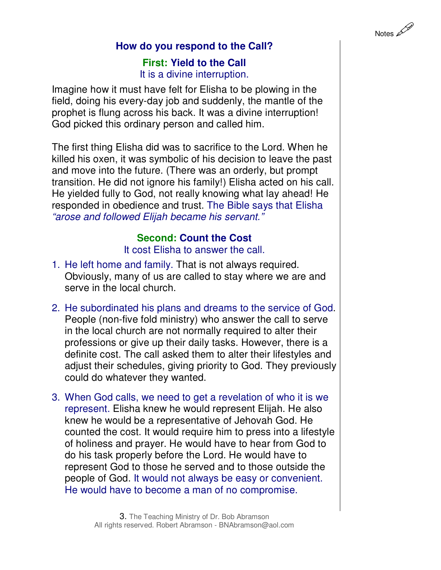

### **How do you respond to the Call?**

#### **First: Yield to the Call**  It is a divine interruption.

Imagine how it must have felt for Elisha to be plowing in the field, doing his every-day job and suddenly, the mantle of the prophet is flung across his back. It was a divine interruption! God picked this ordinary person and called him.

The first thing Elisha did was to sacrifice to the Lord. When he killed his oxen, it was symbolic of his decision to leave the past and move into the future. (There was an orderly, but prompt transition. He did not ignore his family!) Elisha acted on his call. He yielded fully to God, not really knowing what lay ahead! He responded in obedience and trust. The Bible says that Elisha "arose and followed Elijah became his servant."

#### **Second: Count the Cost**

It cost Elisha to answer the call.

- 1. He left home and family. That is not always required. Obviously, many of us are called to stay where we are and serve in the local church.
- 2. He subordinated his plans and dreams to the service of God. People (non-five fold ministry) who answer the call to serve in the local church are not normally required to alter their professions or give up their daily tasks. However, there is a definite cost. The call asked them to alter their lifestyles and adjust their schedules, giving priority to God. They previously could do whatever they wanted.
- 3. When God calls, we need to get a revelation of who it is we represent. Elisha knew he would represent Elijah. He also knew he would be a representative of Jehovah God. He counted the cost. It would require him to press into a lifestyle of holiness and prayer. He would have to hear from God to do his task properly before the Lord. He would have to represent God to those he served and to those outside the people of God. It would not always be easy or convenient. He would have to become a man of no compromise.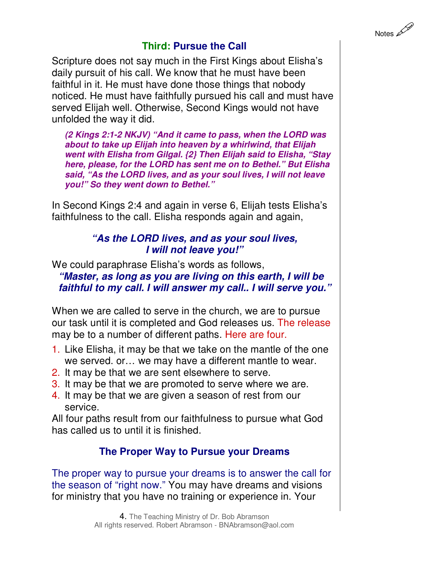

#### **Third: Pursue the Call**

Scripture does not say much in the First Kings about Elisha's daily pursuit of his call. We know that he must have been faithful in it. He must have done those things that nobody noticed. He must have faithfully pursued his call and must have served Elijah well. Otherwise, Second Kings would not have unfolded the way it did.

**(2 Kings 2:1-2 NKJV) "And it came to pass, when the LORD was about to take up Elijah into heaven by a whirlwind, that Elijah went with Elisha from Gilgal. {2} Then Elijah said to Elisha, "Stay here, please, for the LORD has sent me on to Bethel." But Elisha said, "As the LORD lives, and as your soul lives, I will not leave you!" So they went down to Bethel."** 

In Second Kings 2:4 and again in verse 6, Elijah tests Elisha's faithfulness to the call. Elisha responds again and again,

#### **"As the LORD lives, and as your soul lives, I will not leave you!"**

We could paraphrase Elisha's words as follows, **"Master, as long as you are living on this earth, I will be faithful to my call. I will answer my call.. I will serve you."**

When we are called to serve in the church, we are to pursue our task until it is completed and God releases us. The release may be to a number of different paths. Here are four.

- 1. Like Elisha, it may be that we take on the mantle of the one we served. or… we may have a different mantle to wear.
- 2. It may be that we are sent elsewhere to serve.
- 3. It may be that we are promoted to serve where we are.
- 4. It may be that we are given a season of rest from our service.

All four paths result from our faithfulness to pursue what God has called us to until it is finished.

# **The Proper Way to Pursue your Dreams**

The proper way to pursue your dreams is to answer the call for the season of "right now." You may have dreams and visions for ministry that you have no training or experience in. Your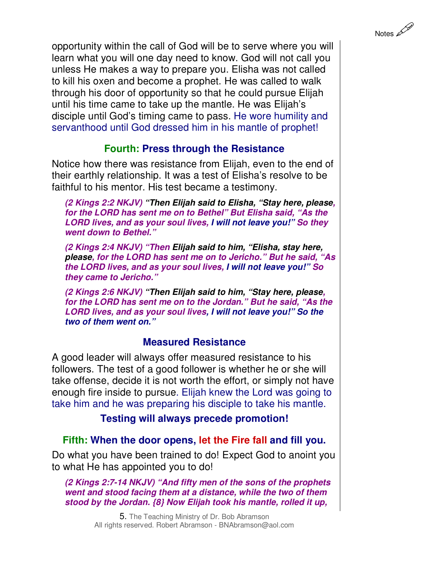Notes 200

opportunity within the call of God will be to serve where you will learn what you will one day need to know. God will not call you unless He makes a way to prepare you. Elisha was not called to kill his oxen and become a prophet. He was called to walk through his door of opportunity so that he could pursue Elijah until his time came to take up the mantle. He was Elijah's disciple until God's timing came to pass. He wore humility and servanthood until God dressed him in his mantle of prophet!

### **Fourth: Press through the Resistance**

Notice how there was resistance from Elijah, even to the end of their earthly relationship. It was a test of Elisha's resolve to be faithful to his mentor. His test became a testimony.

**(2 Kings 2:2 NKJV) "Then Elijah said to Elisha, "Stay here, please, for the LORD has sent me on to Bethel" But Elisha said, "As the LORD lives, and as your soul lives, I will not leave you!" So they went down to Bethel."** 

**(2 Kings 2:4 NKJV) "Then Elijah said to him, "Elisha, stay here, please, for the LORD has sent me on to Jericho." But he said, "As the LORD lives, and as your soul lives, I will not leave you!" So they came to Jericho."** 

**(2 Kings 2:6 NKJV) "Then Elijah said to him, "Stay here, please, for the LORD has sent me on to the Jordan." But he said, "As the LORD lives, and as your soul lives, I will not leave you!" So the two of them went on."** 

### **Measured Resistance**

A good leader will always offer measured resistance to his followers. The test of a good follower is whether he or she will take offense, decide it is not worth the effort, or simply not have enough fire inside to pursue. Elijah knew the Lord was going to take him and he was preparing his disciple to take his mantle.

**Testing will always precede promotion!**

# **Fifth: When the door opens, let the Fire fall and fill you.**

Do what you have been trained to do! Expect God to anoint you to what He has appointed you to do!

**(2 Kings 2:7-14 NKJV) "And fifty men of the sons of the prophets went and stood facing them at a distance, while the two of them stood by the Jordan. {8} Now Elijah took his mantle, rolled it up,** 

> 5. The Teaching Ministry of Dr. Bob Abramson All rights reserved. Robert Abramson - BNAbramson@aol.com